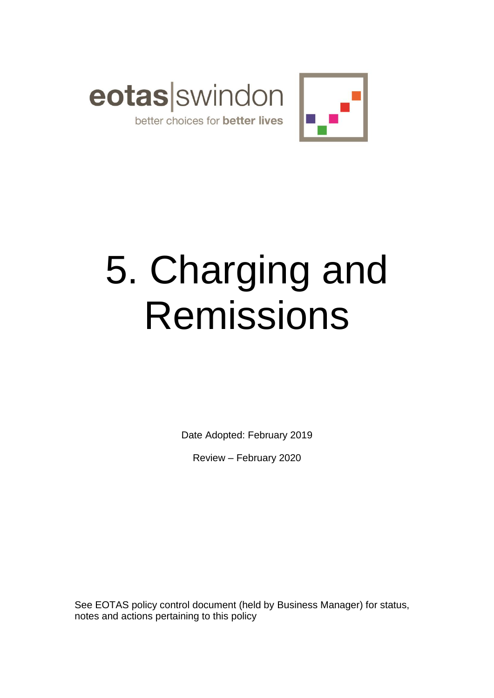



# 5. Charging and Remissions

Date Adopted: February 2019

Review – February 2020

See EOTAS policy control document (held by Business Manager) for status, notes and actions pertaining to this policy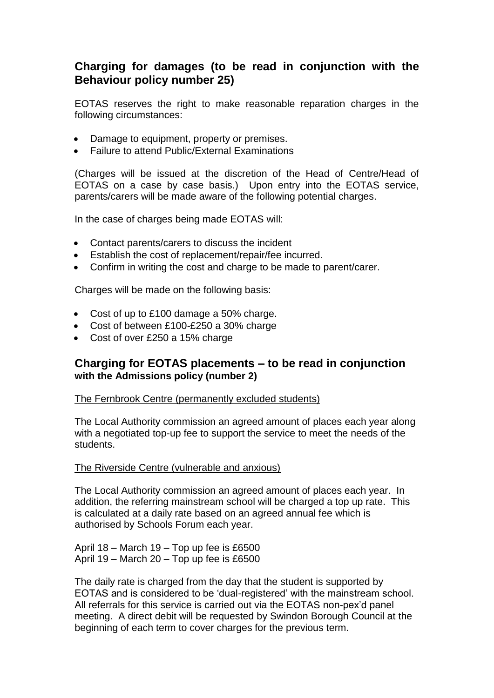# **Charging for damages (to be read in conjunction with the Behaviour policy number 25)**

EOTAS reserves the right to make reasonable reparation charges in the following circumstances:

- Damage to equipment, property or premises.
- Failure to attend Public/External Examinations

(Charges will be issued at the discretion of the Head of Centre/Head of EOTAS on a case by case basis.) Upon entry into the EOTAS service, parents/carers will be made aware of the following potential charges.

In the case of charges being made EOTAS will:

- Contact parents/carers to discuss the incident
- Establish the cost of replacement/repair/fee incurred.
- Confirm in writing the cost and charge to be made to parent/carer.

Charges will be made on the following basis:

- Cost of up to £100 damage a 50% charge.
- Cost of between £100-£250 a 30% charge
- Cost of over £250 a 15% charge

# **Charging for EOTAS placements – to be read in conjunction with the Admissions policy (number 2)**

#### The Fernbrook Centre (permanently excluded students)

The Local Authority commission an agreed amount of places each year along with a negotiated top-up fee to support the service to meet the needs of the students.

#### The Riverside Centre (vulnerable and anxious)

The Local Authority commission an agreed amount of places each year. In addition, the referring mainstream school will be charged a top up rate. This is calculated at a daily rate based on an agreed annual fee which is authorised by Schools Forum each year.

April 18 – March 19 – Top up fee is £6500 April 19 – March 20 – Top up fee is £6500

The daily rate is charged from the day that the student is supported by EOTAS and is considered to be 'dual-registered' with the mainstream school. All referrals for this service is carried out via the EOTAS non-pex'd panel meeting. A direct debit will be requested by Swindon Borough Council at the beginning of each term to cover charges for the previous term.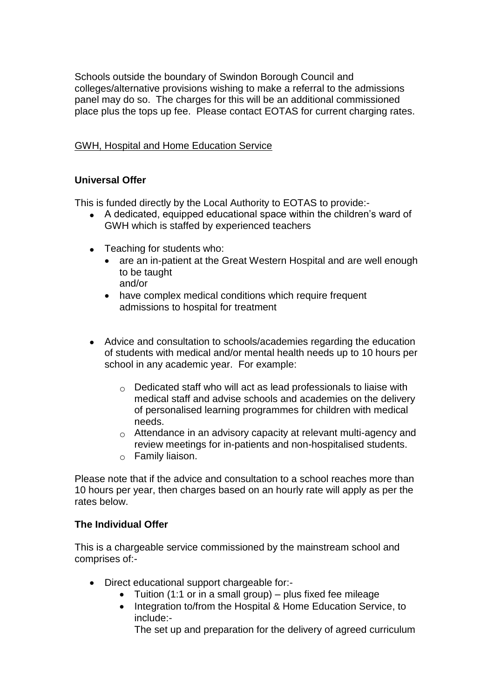Schools outside the boundary of Swindon Borough Council and colleges/alternative provisions wishing to make a referral to the admissions panel may do so. The charges for this will be an additional commissioned place plus the tops up fee. Please contact EOTAS for current charging rates.

# GWH, Hospital and Home Education Service

# **Universal Offer**

This is funded directly by the Local Authority to EOTAS to provide:-

- A dedicated, equipped educational space within the children's ward of GWH which is staffed by experienced teachers
- Teaching for students who:
	- are an in-patient at the Great Western Hospital and are well enough to be taught and/or
	- have complex medical conditions which require frequent admissions to hospital for treatment
- Advice and consultation to schools/academies regarding the education of students with medical and/or mental health needs up to 10 hours per school in any academic year. For example:
	- $\circ$  Dedicated staff who will act as lead professionals to liaise with medical staff and advise schools and academies on the delivery of personalised learning programmes for children with medical needs.
	- $\circ$  Attendance in an advisory capacity at relevant multi-agency and review meetings for in-patients and non-hospitalised students.
	- $\circ$  Family liaison.

Please note that if the advice and consultation to a school reaches more than 10 hours per year, then charges based on an hourly rate will apply as per the rates below.

### **The Individual Offer**

This is a chargeable service commissioned by the mainstream school and comprises of:-

- Direct educational support chargeable for:-
	- Tuition (1:1 or in a small group) plus fixed fee mileage
	- Integration to/from the Hospital & Home Education Service, to include:-

The set up and preparation for the delivery of agreed curriculum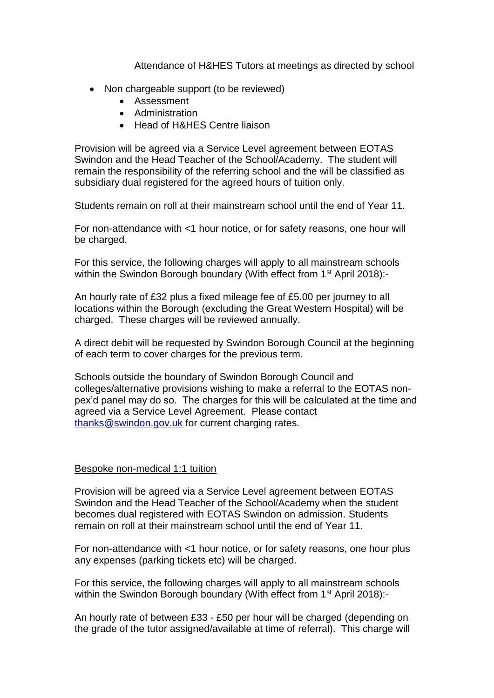Attendance of H&HES Tutors at meetings as directed by school

- Non chargeable support (to be reviewed)
	- Assessment
	- Administration
	- Head of H&HES Centre liaison

Provision will be agreed via a Service Level agreement between EOTAS Swindon and the Head Teacher of the School/Academy. The student will remain the responsibility of the referring school and the will be classified as subsidiary dual registered for the agreed hours of tuition only.

Students remain on roll at their mainstream school until the end of Year 11.

For non-attendance with <1 hour notice, or for safety reasons, one hour will be charged.

For this service, the following charges will apply to all mainstream schools within the Swindon Borough boundary (With effect from 1<sup>st</sup> April 2018):-

An hourly rate of £32 plus a fixed mileage fee of £5.00 per journey to all locations within the Borough (excluding the Great Western Hospital) will be charged. These charges will be reviewed annually.

A direct debit will be requested by Swindon Borough Council at the beginning of each term to cover charges for the previous term.

Schools outside the boundary of Swindon Borough Council and colleges/alternative provisions wishing to make a referral to the EOTAS nonpex'd panel may do so. The charges for this will be calculated at the time and agreed via a Service Level Agreement. Please contact [thanks@swindon.gov.uk](mailto:thanks@swindon.gov.uk) for current charging rates.

### Bespoke non-medical 1:1 tuition

Provision will be agreed via a Service Level agreement between EOTAS Swindon and the Head Teacher of the School/Academy when the student becomes dual registered with EOTAS Swindon on admission. Students remain on roll at their mainstream school until the end of Year 11.

For non-attendance with <1 hour notice, or for safety reasons, one hour plus any expenses (parking tickets etc) will be charged.

For this service, the following charges will apply to all mainstream schools within the Swindon Borough boundary (With effect from 1<sup>st</sup> April 2018):-

An hourly rate of between £33 - £50 per hour will be charged (depending on the grade of the tutor assigned/available at time of referral). This charge will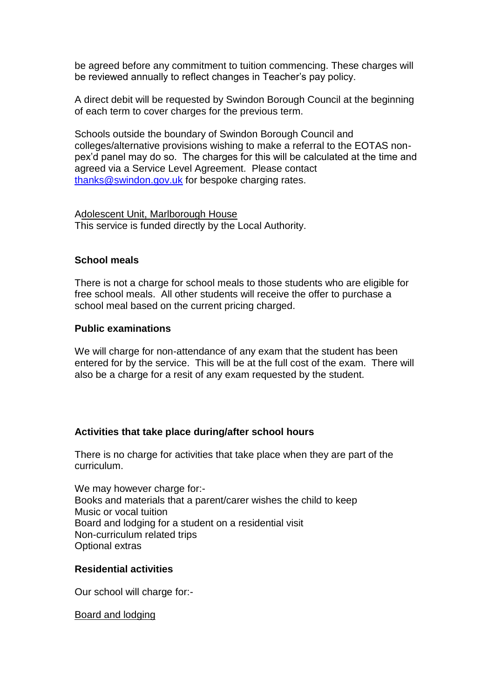be agreed before any commitment to tuition commencing. These charges will be reviewed annually to reflect changes in Teacher's pay policy.

A direct debit will be requested by Swindon Borough Council at the beginning of each term to cover charges for the previous term.

Schools outside the boundary of Swindon Borough Council and colleges/alternative provisions wishing to make a referral to the EOTAS nonpex'd panel may do so. The charges for this will be calculated at the time and agreed via a Service Level Agreement. Please contact [thanks@swindon.gov.uk](mailto:thanks@swindon.gov.uk) for bespoke charging rates.

Adolescent Unit, Marlborough House This service is funded directly by the Local Authority.

### **School meals**

There is not a charge for school meals to those students who are eligible for free school meals. All other students will receive the offer to purchase a school meal based on the current pricing charged.

#### **Public examinations**

We will charge for non-attendance of any exam that the student has been entered for by the service. This will be at the full cost of the exam. There will also be a charge for a resit of any exam requested by the student.

### **Activities that take place during/after school hours**

There is no charge for activities that take place when they are part of the curriculum.

We may however charge for:-Books and materials that a parent/carer wishes the child to keep Music or vocal tuition Board and lodging for a student on a residential visit Non-curriculum related trips Optional extras

#### **Residential activities**

Our school will charge for:-

Board and lodging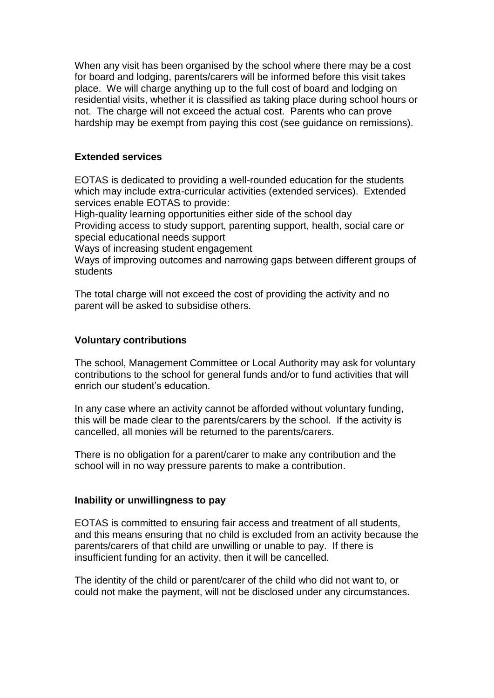When any visit has been organised by the school where there may be a cost for board and lodging, parents/carers will be informed before this visit takes place. We will charge anything up to the full cost of board and lodging on residential visits, whether it is classified as taking place during school hours or not. The charge will not exceed the actual cost. Parents who can prove hardship may be exempt from paying this cost (see guidance on remissions).

## **Extended services**

EOTAS is dedicated to providing a well-rounded education for the students which may include extra-curricular activities (extended services). Extended services enable EOTAS to provide:

High-quality learning opportunities either side of the school day

Providing access to study support, parenting support, health, social care or special educational needs support

Ways of increasing student engagement

Ways of improving outcomes and narrowing gaps between different groups of students

The total charge will not exceed the cost of providing the activity and no parent will be asked to subsidise others.

### **Voluntary contributions**

The school, Management Committee or Local Authority may ask for voluntary contributions to the school for general funds and/or to fund activities that will enrich our student's education.

In any case where an activity cannot be afforded without voluntary funding, this will be made clear to the parents/carers by the school. If the activity is cancelled, all monies will be returned to the parents/carers.

There is no obligation for a parent/carer to make any contribution and the school will in no way pressure parents to make a contribution.

### **Inability or unwillingness to pay**

EOTAS is committed to ensuring fair access and treatment of all students, and this means ensuring that no child is excluded from an activity because the parents/carers of that child are unwilling or unable to pay. If there is insufficient funding for an activity, then it will be cancelled.

The identity of the child or parent/carer of the child who did not want to, or could not make the payment, will not be disclosed under any circumstances.